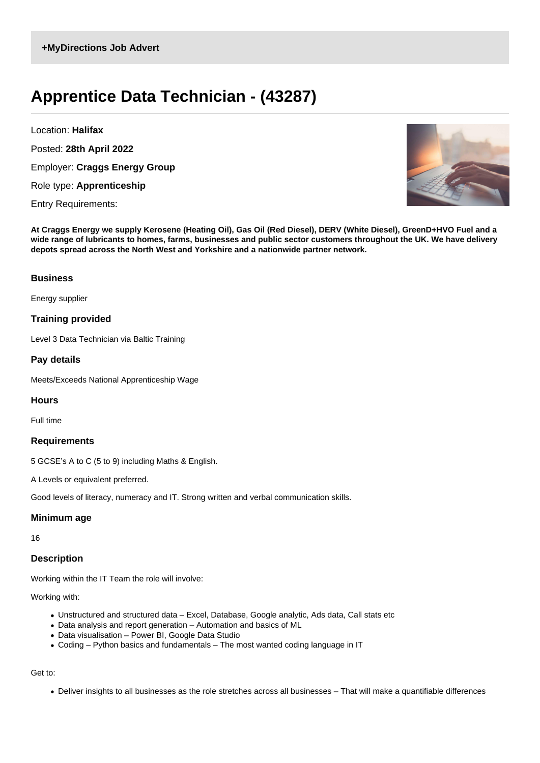# **Apprentice Data Technician - (43287)**

Location: **Halifax**

Posted: **28th April 2022**

Employer: **Craggs Energy Group**

Role type: **Apprenticeship**

Entry Requirements:



**At Craggs Energy we supply Kerosene (Heating Oil), Gas Oil (Red Diesel), DERV (White Diesel), GreenD+HVO Fuel and a wide range of lubricants to homes, farms, businesses and public sector customers throughout the UK. We have delivery depots spread across the North West and Yorkshire and a nationwide partner network.**

## **Business**

Energy supplier

## **Training provided**

Level 3 Data Technician via Baltic Training

## **Pay details**

Meets/Exceeds National Apprenticeship Wage

#### **Hours**

Full time

#### **Requirements**

5 GCSE's A to C (5 to 9) including Maths & English.

A Levels or equivalent preferred.

Good levels of literacy, numeracy and IT. Strong written and verbal communication skills.

#### **Minimum age**

16

# **Description**

Working within the IT Team the role will involve:

Working with:

- Unstructured and structured data Excel, Database, Google analytic, Ads data, Call stats etc
- Data analysis and report generation Automation and basics of ML
- Data visualisation Power BI, Google Data Studio
- Coding Python basics and fundamentals The most wanted coding language in IT

# Get to:

Deliver insights to all businesses as the role stretches across all businesses – That will make a quantifiable differences